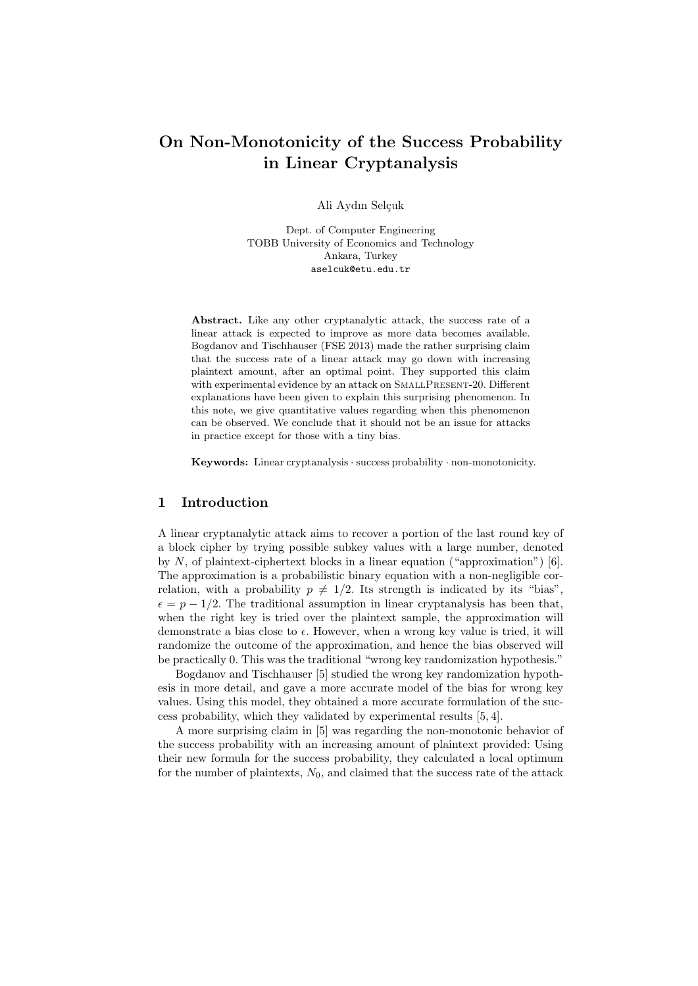# On Non-Monotonicity of the Success Probability in Linear Cryptanalysis

Ali Aydın Selçuk

Dept. of Computer Engineering TOBB University of Economics and Technology Ankara, Turkey aselcuk@etu.edu.tr

Abstract. Like any other cryptanalytic attack, the success rate of a linear attack is expected to improve as more data becomes available. Bogdanov and Tischhauser (FSE 2013) made the rather surprising claim that the success rate of a linear attack may go down with increasing plaintext amount, after an optimal point. They supported this claim with experimental evidence by an attack on SMALLPRESENT-20. Different explanations have been given to explain this surprising phenomenon. In this note, we give quantitative values regarding when this phenomenon can be observed. We conclude that it should not be an issue for attacks in practice except for those with a tiny bias.

Keywords: Linear cryptanalysis · success probability · non-monotonicity.

### 1 Introduction

A linear cryptanalytic attack aims to recover a portion of the last round key of a block cipher by trying possible subkey values with a large number, denoted by  $N$ , of plaintext-ciphertext blocks in a linear equation ("approximation") [6]. The approximation is a probabilistic binary equation with a non-negligible correlation, with a probability  $p \neq 1/2$ . Its strength is indicated by its "bias",  $\epsilon = p - 1/2$ . The traditional assumption in linear cryptanalysis has been that, when the right key is tried over the plaintext sample, the approximation will demonstrate a bias close to  $\epsilon$ . However, when a wrong key value is tried, it will randomize the outcome of the approximation, and hence the bias observed will be practically 0. This was the traditional "wrong key randomization hypothesis."

Bogdanov and Tischhauser [5] studied the wrong key randomization hypothesis in more detail, and gave a more accurate model of the bias for wrong key values. Using this model, they obtained a more accurate formulation of the success probability, which they validated by experimental results [5, 4].

A more surprising claim in [5] was regarding the non-monotonic behavior of the success probability with an increasing amount of plaintext provided: Using their new formula for the success probability, they calculated a local optimum for the number of plaintexts,  $N_0$ , and claimed that the success rate of the attack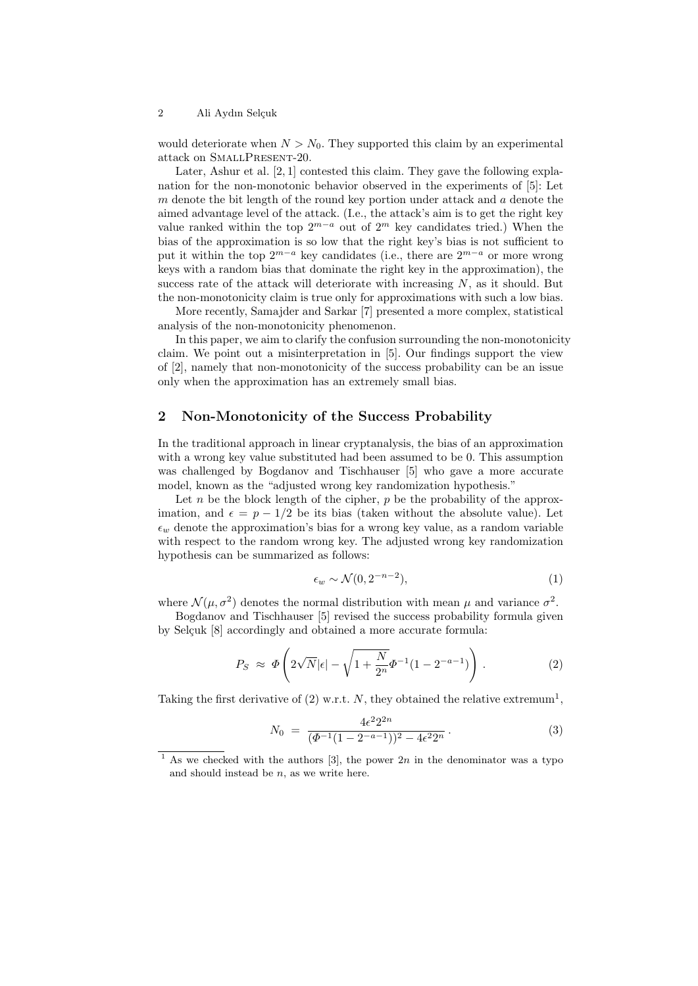2 Ali Aydın Selçuk

would deteriorate when  $N > N_0$ . They supported this claim by an experimental attack on SmallPresent-20.

Later, Ashur et al. [2, 1] contested this claim. They gave the following explanation for the non-monotonic behavior observed in the experiments of [5]: Let  $m$  denote the bit length of the round key portion under attack and  $a$  denote the aimed advantage level of the attack. (I.e., the attack's aim is to get the right key value ranked within the top  $2^{m-a}$  out of  $2^m$  key candidates tried.) When the bias of the approximation is so low that the right key's bias is not sufficient to put it within the top  $2^{m-a}$  key candidates (i.e., there are  $2^{m-a}$  or more wrong keys with a random bias that dominate the right key in the approximation), the success rate of the attack will deteriorate with increasing  $N$ , as it should. But the non-monotonicity claim is true only for approximations with such a low bias.

More recently, Samajder and Sarkar [7] presented a more complex, statistical analysis of the non-monotonicity phenomenon.

In this paper, we aim to clarify the confusion surrounding the non-monotonicity claim. We point out a misinterpretation in [5]. Our findings support the view of [2], namely that non-monotonicity of the success probability can be an issue only when the approximation has an extremely small bias.

### 2 Non-Monotonicity of the Success Probability

In the traditional approach in linear cryptanalysis, the bias of an approximation with a wrong key value substituted had been assumed to be 0. This assumption was challenged by Bogdanov and Tischhauser [5] who gave a more accurate model, known as the "adjusted wrong key randomization hypothesis."

Let  $n$  be the block length of the cipher,  $p$  be the probability of the approximation, and  $\epsilon = p - 1/2$  be its bias (taken without the absolute value). Let  $\epsilon_w$  denote the approximation's bias for a wrong key value, as a random variable with respect to the random wrong key. The adjusted wrong key randomization hypothesis can be summarized as follows:

$$
\epsilon_w \sim \mathcal{N}(0, 2^{-n-2}),\tag{1}
$$

where  $\mathcal{N}(\mu, \sigma^2)$  denotes the normal distribution with mean  $\mu$  and variance  $\sigma^2$ .

Bogdanov and Tischhauser [5] revised the success probability formula given by Selçuk [8] accordingly and obtained a more accurate formula:

$$
P_S \approx \Phi\left(2\sqrt{N}|\epsilon| - \sqrt{1 + \frac{N}{2^n}} \Phi^{-1} (1 - 2^{-a-1})\right). \tag{2}
$$

Taking the first derivative of  $(2)$  w.r.t. N, they obtained the relative extremum<sup>1</sup>,

$$
N_0 = \frac{4\epsilon^2 2^{2n}}{(\Phi^{-1}(1 - 2^{-a-1}))^2 - 4\epsilon^2 2^n}.
$$
\n(3)

<sup>&</sup>lt;sup>1</sup> As we checked with the authors [3], the power  $2n$  in the denominator was a typo and should instead be  $n$ , as we write here.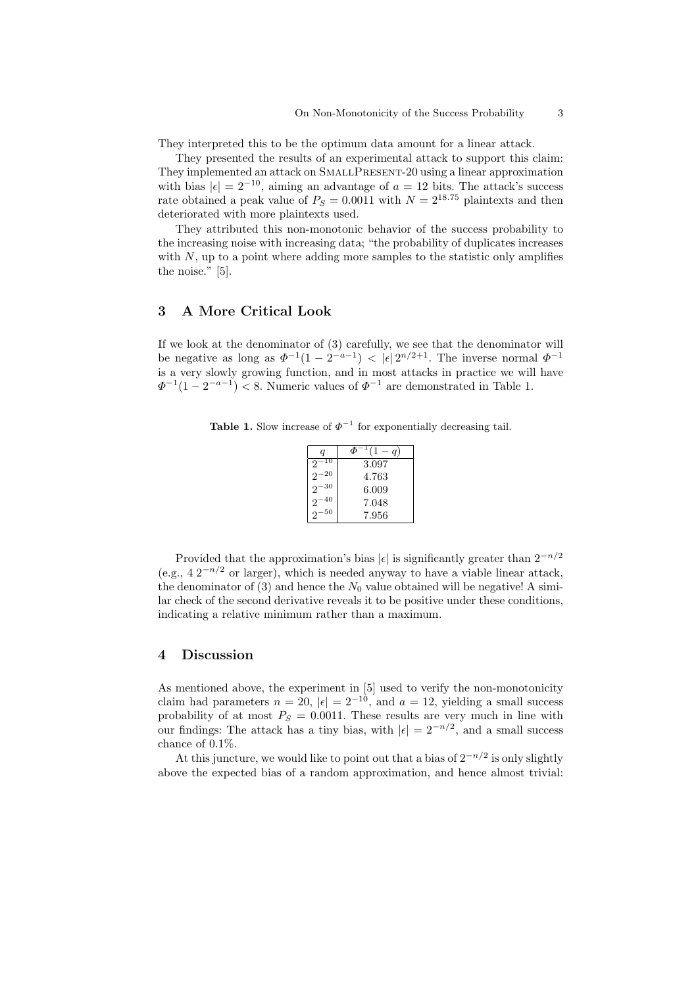They interpreted this to be the optimum data amount for a linear attack.

They presented the results of an experimental attack to support this claim: They implemented an attack on SMALLPRESENT-20 using a linear approximation with bias  $|\epsilon| = 2^{-10}$ , aiming an advantage of  $a = 12$  bits. The attack's success rate obtained a peak value of  $P_s = 0.0011$  with  $N = 2^{18.75}$  plaintexts and then deteriorated with more plaintexts used.

They attributed this non-monotonic behavior of the success probability to the increasing noise with increasing data; "the probability of duplicates increases with  $N$ , up to a point where adding more samples to the statistic only amplifies the noise." [5].

### 3 A More Critical Look

If we look at the denominator of (3) carefully, we see that the denominator will be negative as long as  $\Phi^{-1}(1-2^{-a-1}) < |\epsilon| 2^{n/2+1}$ . The inverse normal  $\Phi^{-1}$ is a very slowly growing function, and in most attacks in practice we will have  $\Phi^{-1}(1-2^{-a-1}) < 8$ . Numeric values of  $\Phi^{-1}$  are demonstrated in Table 1.

**Table 1.** Slow increase of  $\Phi^{-1}$  for exponentially decreasing tail.

| q                    | đБ<br>q |
|----------------------|---------|
| 2                    | 3.097   |
| 20<br>$\mathfrak{D}$ | 4.763   |
| 30<br>$\mathfrak{D}$ | 6.009   |
| 40<br>2              | 7.048   |
| 50<br>2              | 7.956   |

Provided that the approximation's bias  $|\epsilon|$  is significantly greater than  $2^{-n/2}$ (e.g.,  $4 \frac{2^{-n}}{2}$  or larger), which is needed anyway to have a viable linear attack, the denominator of (3) and hence the  $N_0$  value obtained will be negative! A similar check of the second derivative reveals it to be positive under these conditions, indicating a relative minimum rather than a maximum.

## 4 Discussion

As mentioned above, the experiment in [5] used to verify the non-monotonicity claim had parameters  $n = 20$ ,  $|\epsilon| = 2^{-10}$ , and  $a = 12$ , yielding a small success probability of at most  $P<sub>S</sub> = 0.0011$ . These results are very much in line with our findings: The attack has a tiny bias, with  $|\epsilon| = 2^{-n/2}$ , and a small success chance of 0.1%.

At this juncture, we would like to point out that a bias of  $2^{-n/2}$  is only slightly above the expected bias of a random approximation, and hence almost trivial: